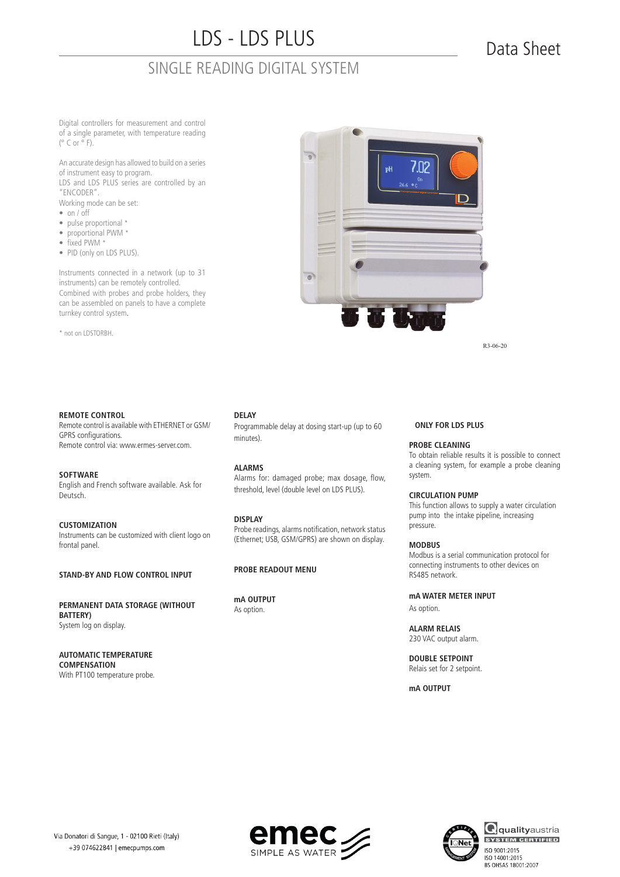# LDS - LDS PLUS

## SINGLE READING DIGITAL SYSTEM

## Data Sheet

Digital controllers for measurement and control of a single parameter, with temperature reading  $(^{\circ}$  C or  $^{\circ}$  F).

An accurate design has allowed to build on a series of instrument easy to program. LDS and LDS PLUS series are controlled by an "ENCODER".

Working mode can be set:

- on / off
- pulse proportional \*
- proportional PWM \*
- fixed PWM \*
- PID (only on LDS PLUS).

Instruments connected in a network (up to 31 instruments) can be remotely controlled. Combined with probes and probe holders, they can be assembled on panels to have a complete turnkey control system.

\* not on LDSTORBH.

#### **REMOTE CONTROL**

Remote control is available with ETHERNET or GSM/ GPRS configurations. Remote control via: www.ermes-server.com.

#### **SOFTWARE**

English and French software available. Ask for Deutsch.

**CUSTOMIZATION** Instruments can be customized with client logo on frontal panel.

**STAND-BY AND FLOW CONTROL INPUT**

**PERMANENT DATA STORAGE (WITHOUT BATTERY)**  System log on display.

#### **AUTOMATIC TEMPERATURE COMPENSATION** With PT100 temperature probe.



R3-06-20

#### **DELAY**

Programmable delay at dosing start-up (up to 60 minutes).

#### **ALARMS**

Alarms for: damaged probe; max dosage, flow, threshold, level (double level on LDS PLUS).

#### **DISPLAY**

Probe readings, alarms notification, network status (Ethernet; USB, GSM/GPRS) are shown on display.

#### **PROBE READOUT MENU**

**mA OUTPUT** As option.

#### **ONLY FOR LDS PLUS**

#### **PROBE CLEANING**

To obtain reliable results it is possible to connect a cleaning system, for example a probe cleaning system.

#### **CIRCULATION PUMP**

This function allows to supply a water circulation pump into the intake pipeline, increasing pressure.

#### **MODBUS**

Modbus is a serial communication protocol for connecting instruments to other devices on RS485 network.

#### **mA WATER METER INPUT**

As option.

**ALARM RELAIS** 230 VAC output alarm.

**DOUBLE SETPOINT** Relais set for 2 setpoint.

**mA OUTPUT**







Qqualityaustria **SYSTEM CERTIFIED** ISO 9001:2015 ISO 14001:2015 BS OHSAS 18001:2007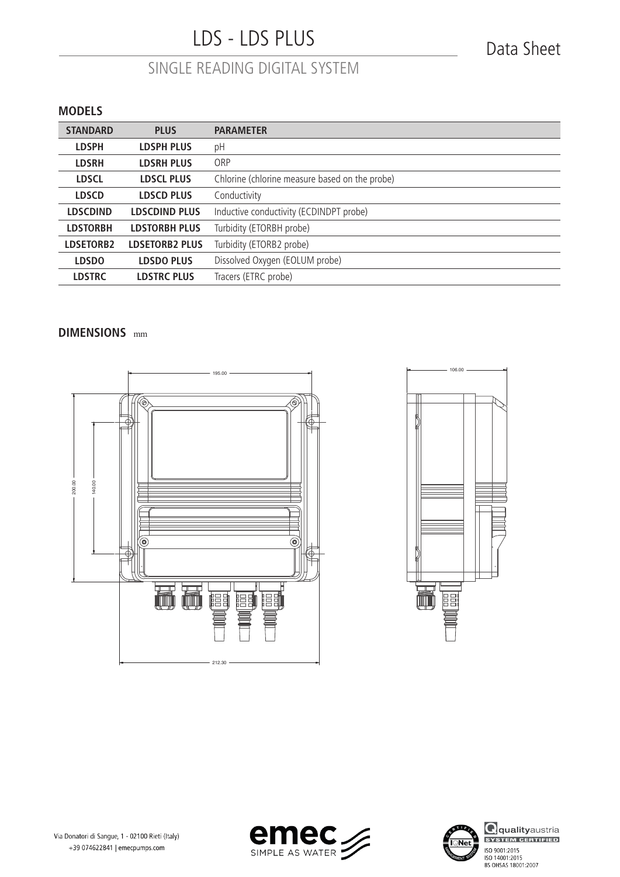# LDS - LDS PLUS

## SINGLE READING DIGITAL SYSTEM

### **MODELS**

| <b>STANDARD</b>  | <b>PLUS</b>           | <b>PARAMETER</b>                               |
|------------------|-----------------------|------------------------------------------------|
| <b>LDSPH</b>     | <b>LDSPH PLUS</b>     | pH                                             |
| <b>LDSRH</b>     | <b>LDSRH PLUS</b>     | ORP                                            |
| <b>LDSCL</b>     | <b>LDSCL PLUS</b>     | Chlorine (chlorine measure based on the probe) |
| <b>LDSCD</b>     | <b>LDSCD PLUS</b>     | Conductivity                                   |
| <b>LDSCDIND</b>  | <b>LDSCDIND PLUS</b>  | Inductive conductivity (ECDINDPT probe)        |
| <b>LDSTORBH</b>  | <b>LDSTORBH PLUS</b>  | Turbidity (ETORBH probe)                       |
| <b>LDSETORB2</b> | <b>LDSETORB2 PLUS</b> | Turbidity (ETORB2 probe)                       |
| <b>LDSDO</b>     | <b>LDSDO PLUS</b>     | Dissolved Oxygen (EOLUM probe)                 |
| <b>LDSTRC</b>    | <b>LDSTRC PLUS</b>    | Tracers (ETRC probe)                           |

#### **DIMENSIONS** mm mm and the contract of the contract of the contract of the contract of the contract of the contract of the contract of the contract of the contract of the contract of the contract of the contract of the contract of the con







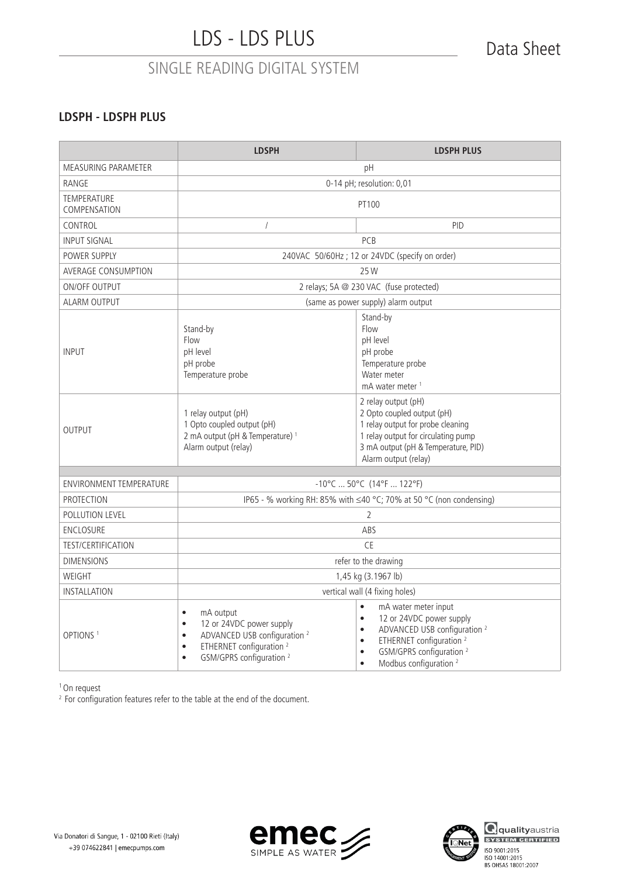### **LDSPH - LDSPH PLUS**

|                                    | <b>LDSPH</b>                                                                                                                                                                                                                    | <b>LDSPH PLUS</b>                                                                                                                                                                                                                                                                            |  |
|------------------------------------|---------------------------------------------------------------------------------------------------------------------------------------------------------------------------------------------------------------------------------|----------------------------------------------------------------------------------------------------------------------------------------------------------------------------------------------------------------------------------------------------------------------------------------------|--|
| MEASURING PARAMETER                | pH                                                                                                                                                                                                                              |                                                                                                                                                                                                                                                                                              |  |
| RANGE                              | 0-14 pH; resolution: 0,01                                                                                                                                                                                                       |                                                                                                                                                                                                                                                                                              |  |
| <b>TEMPERATURE</b><br>COMPENSATION | PT100                                                                                                                                                                                                                           |                                                                                                                                                                                                                                                                                              |  |
| CONTROL                            | $\overline{I}$                                                                                                                                                                                                                  | PID                                                                                                                                                                                                                                                                                          |  |
| <b>INPUT SIGNAL</b>                |                                                                                                                                                                                                                                 | PCB                                                                                                                                                                                                                                                                                          |  |
| POWER SUPPLY                       |                                                                                                                                                                                                                                 | 240VAC 50/60Hz; 12 or 24VDC (specify on order)                                                                                                                                                                                                                                               |  |
| <b>AVERAGE CONSUMPTION</b>         |                                                                                                                                                                                                                                 | 25 W                                                                                                                                                                                                                                                                                         |  |
| ON/OFF OUTPUT                      |                                                                                                                                                                                                                                 | 2 relays; 5A @ 230 VAC (fuse protected)                                                                                                                                                                                                                                                      |  |
| <b>ALARM OUTPUT</b>                |                                                                                                                                                                                                                                 | (same as power supply) alarm output                                                                                                                                                                                                                                                          |  |
| <b>INPUT</b>                       | Stand-by<br>Flow<br>pH level<br>pH probe<br>Temperature probe                                                                                                                                                                   | Stand-by<br>Flow<br>pH level<br>pH probe<br>Temperature probe<br>Water meter<br>mA water meter <sup>1</sup>                                                                                                                                                                                  |  |
| <b>OUTPUT</b>                      | 1 relay output (pH)<br>1 Opto coupled output (pH)<br>2 mA output (pH & Temperature) <sup>1</sup><br>Alarm output (relay)                                                                                                        | 2 relay output (pH)<br>2 Opto coupled output (pH)<br>1 relay output for probe cleaning<br>1 relay output for circulating pump<br>3 mA output (pH & Temperature, PID)<br>Alarm output (relay)                                                                                                 |  |
| <b>ENVIRONMENT TEMPERATURE</b>     | $-10^{\circ}$ C  50°C (14°F  122°F)                                                                                                                                                                                             |                                                                                                                                                                                                                                                                                              |  |
| <b>PROTECTION</b>                  | IP65 - % working RH: 85% with ≤40 °C; 70% at 50 °C (non condensing)                                                                                                                                                             |                                                                                                                                                                                                                                                                                              |  |
| POLLUTION LEVEL                    | $\overline{2}$                                                                                                                                                                                                                  |                                                                                                                                                                                                                                                                                              |  |
| <b>ENCLOSURE</b>                   | ABS                                                                                                                                                                                                                             |                                                                                                                                                                                                                                                                                              |  |
| <b>TEST/CERTIFICATION</b>          | <b>CE</b>                                                                                                                                                                                                                       |                                                                                                                                                                                                                                                                                              |  |
| <b>DIMENSIONS</b>                  | refer to the drawing                                                                                                                                                                                                            |                                                                                                                                                                                                                                                                                              |  |
| WEIGHT                             | 1,45 kg (3.1967 lb)                                                                                                                                                                                                             |                                                                                                                                                                                                                                                                                              |  |
| INSTALLATION                       | vertical wall (4 fixing holes)                                                                                                                                                                                                  |                                                                                                                                                                                                                                                                                              |  |
| OPTIONS <sup>1</sup>               | mA output<br>$\bullet$<br>12 or 24VDC power supply<br>$\bullet$<br>ADVANCED USB configuration <sup>2</sup><br>$\bullet$<br>ETHERNET configuration <sup>2</sup><br>$\bullet$<br>GSM/GPRS configuration <sup>2</sup><br>$\bullet$ | $\bullet$<br>mA water meter input<br>12 or 24VDC power supply<br>$\bullet$<br>ADVANCED USB configuration <sup>2</sup><br>$\bullet$<br>ETHERNET configuration <sup>2</sup><br>$\bullet$<br>GSM/GPRS configuration <sup>2</sup><br>$\bullet$<br>Modbus configuration <sup>2</sup><br>$\bullet$ |  |

1 On request



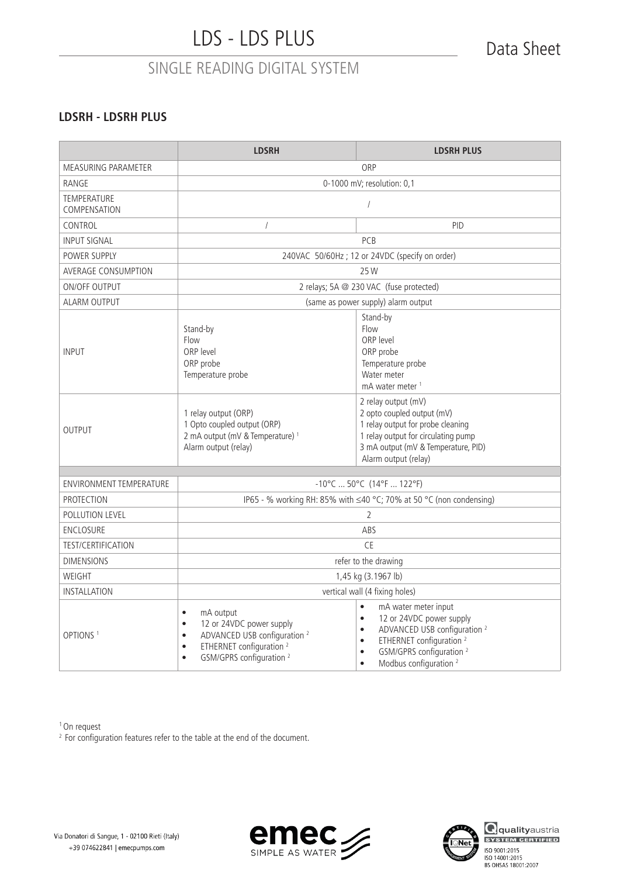### **LDSRH - LDSRH PLUS**

|                                    | <b>LDSRH</b>                                                                                                                                                                                                                    | <b>LDSRH PLUS</b>                                                                                                                                                                                                                                                                            |  |
|------------------------------------|---------------------------------------------------------------------------------------------------------------------------------------------------------------------------------------------------------------------------------|----------------------------------------------------------------------------------------------------------------------------------------------------------------------------------------------------------------------------------------------------------------------------------------------|--|
| <b>MEASURING PARAMETER</b>         | ORP                                                                                                                                                                                                                             |                                                                                                                                                                                                                                                                                              |  |
| RANGE                              | 0-1000 mV; resolution: 0,1                                                                                                                                                                                                      |                                                                                                                                                                                                                                                                                              |  |
| <b>TEMPERATURE</b><br>COMPENSATION | $\sqrt{2}$                                                                                                                                                                                                                      |                                                                                                                                                                                                                                                                                              |  |
| CONTROL                            | $\overline{1}$                                                                                                                                                                                                                  | PID                                                                                                                                                                                                                                                                                          |  |
| <b>INPUT SIGNAL</b>                |                                                                                                                                                                                                                                 | PCB                                                                                                                                                                                                                                                                                          |  |
| POWER SUPPLY                       | 240VAC 50/60Hz; 12 or 24VDC (specify on order)                                                                                                                                                                                  |                                                                                                                                                                                                                                                                                              |  |
| AVERAGE CONSUMPTION                |                                                                                                                                                                                                                                 | 25 W                                                                                                                                                                                                                                                                                         |  |
| ON/OFF OUTPUT                      |                                                                                                                                                                                                                                 | 2 relays; 5A @ 230 VAC (fuse protected)                                                                                                                                                                                                                                                      |  |
| ALARM OUTPUT                       |                                                                                                                                                                                                                                 | (same as power supply) alarm output                                                                                                                                                                                                                                                          |  |
| <b>INPUT</b>                       | Stand-by<br>Flow<br>ORP level<br>ORP probe<br>Temperature probe                                                                                                                                                                 | Stand-by<br>Flow<br>ORP level<br>ORP probe<br>Temperature probe<br>Water meter<br>mA water meter <sup>1</sup>                                                                                                                                                                                |  |
| <b>OUTPUT</b>                      | 1 relay output (ORP)<br>1 Opto coupled output (ORP)<br>2 mA output (mV & Temperature) <sup>1</sup><br>Alarm output (relay)                                                                                                      | 2 relay output (mV)<br>2 opto coupled output (mV)<br>1 relay output for probe cleaning<br>1 relay output for circulating pump<br>3 mA output (mV & Temperature, PID)<br>Alarm output (relay)                                                                                                 |  |
| <b>ENVIRONMENT TEMPERATURE</b>     | $-10^{\circ}$ C  50°C (14°F  122°F)                                                                                                                                                                                             |                                                                                                                                                                                                                                                                                              |  |
| <b>PROTECTION</b>                  | IP65 - % working RH: 85% with ≤40 °C; 70% at 50 °C (non condensing)                                                                                                                                                             |                                                                                                                                                                                                                                                                                              |  |
| POLLUTION LEVEL                    | $\overline{2}$                                                                                                                                                                                                                  |                                                                                                                                                                                                                                                                                              |  |
| <b>ENCLOSURE</b>                   | ABS                                                                                                                                                                                                                             |                                                                                                                                                                                                                                                                                              |  |
| <b>TEST/CERTIFICATION</b>          | <b>CE</b>                                                                                                                                                                                                                       |                                                                                                                                                                                                                                                                                              |  |
| <b>DIMENSIONS</b>                  | refer to the drawing                                                                                                                                                                                                            |                                                                                                                                                                                                                                                                                              |  |
| WEIGHT                             | 1,45 kg (3.1967 lb)                                                                                                                                                                                                             |                                                                                                                                                                                                                                                                                              |  |
| <b>INSTALLATION</b>                | vertical wall (4 fixing holes)                                                                                                                                                                                                  |                                                                                                                                                                                                                                                                                              |  |
| OPTIONS <sup>1</sup>               | mA output<br>$\bullet$<br>12 or 24VDC power supply<br>$\bullet$<br>ADVANCED USB configuration <sup>2</sup><br>$\bullet$<br>ETHERNET configuration <sup>2</sup><br>$\bullet$<br>GSM/GPRS configuration <sup>2</sup><br>$\bullet$ | $\bullet$<br>mA water meter input<br>12 or 24VDC power supply<br>$\bullet$<br>ADVANCED USB configuration <sup>2</sup><br>$\bullet$<br>ETHERNET configuration <sup>2</sup><br>$\bullet$<br>GSM/GPRS configuration <sup>2</sup><br>$\bullet$<br>Modbus configuration <sup>2</sup><br>$\bullet$ |  |

1 On request



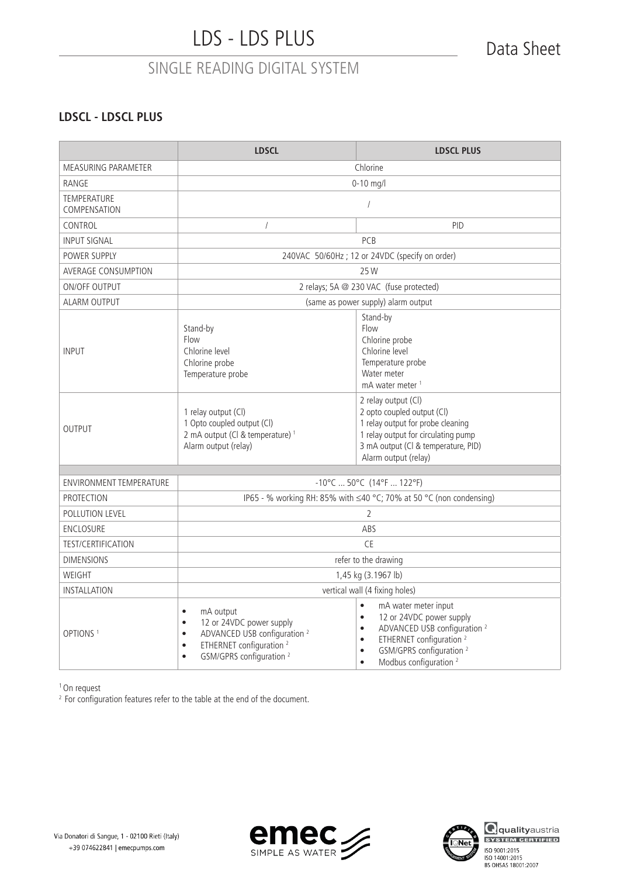### **LDSCL - LDSCL PLUS**

|                                                                | <b>LDSCL</b>                                                                                                                                                                                                                    | <b>LDSCL PLUS</b>                                                                                                                                                                                                                                                                            |  |
|----------------------------------------------------------------|---------------------------------------------------------------------------------------------------------------------------------------------------------------------------------------------------------------------------------|----------------------------------------------------------------------------------------------------------------------------------------------------------------------------------------------------------------------------------------------------------------------------------------------|--|
| MEASURING PARAMETER                                            | Chlorine                                                                                                                                                                                                                        |                                                                                                                                                                                                                                                                                              |  |
| RANGE                                                          | $0 - 10$ mg/l                                                                                                                                                                                                                   |                                                                                                                                                                                                                                                                                              |  |
| <b>TEMPERATURE</b><br>COMPENSATION                             | $\sqrt{\phantom{a}}$                                                                                                                                                                                                            |                                                                                                                                                                                                                                                                                              |  |
| CONTROL                                                        | $\overline{1}$                                                                                                                                                                                                                  | PID                                                                                                                                                                                                                                                                                          |  |
| <b>INPUT SIGNAL</b>                                            |                                                                                                                                                                                                                                 | PCB                                                                                                                                                                                                                                                                                          |  |
| POWER SUPPLY                                                   | 240VAC 50/60Hz ; 12 or 24VDC (specify on order)                                                                                                                                                                                 |                                                                                                                                                                                                                                                                                              |  |
| AVERAGE CONSUMPTION                                            |                                                                                                                                                                                                                                 | 25 W                                                                                                                                                                                                                                                                                         |  |
| ON/OFF OUTPUT                                                  |                                                                                                                                                                                                                                 | 2 relays; 5A @ 230 VAC (fuse protected)                                                                                                                                                                                                                                                      |  |
| <b>ALARM OUTPUT</b>                                            |                                                                                                                                                                                                                                 | (same as power supply) alarm output                                                                                                                                                                                                                                                          |  |
| <b>INPUT</b>                                                   | Stand-by<br>Flow<br>Chlorine level<br>Chlorine probe<br>Temperature probe                                                                                                                                                       | Stand-by<br>Flow<br>Chlorine probe<br>Chlorine level<br>Temperature probe<br>Water meter<br>mA water meter <sup>1</sup>                                                                                                                                                                      |  |
| <b>OUTPUT</b>                                                  | 1 relay output (Cl)<br>1 Opto coupled output (CI)<br>2 mA output (Cl & temperature) <sup>1</sup><br>Alarm output (relay)                                                                                                        | 2 relay output (Cl)<br>2 opto coupled output (Cl)<br>1 relay output for probe cleaning<br>1 relay output for circulating pump<br>3 mA output (Cl & temperature, PID)<br>Alarm output (relay)                                                                                                 |  |
| ENVIRONMENT TEMPERATURE<br>$-10^{\circ}$ C  50°C (14°F  122°F) |                                                                                                                                                                                                                                 |                                                                                                                                                                                                                                                                                              |  |
| <b>PROTECTION</b>                                              | IP65 - % working RH: 85% with ≤40 °C; 70% at 50 °C (non condensing)                                                                                                                                                             |                                                                                                                                                                                                                                                                                              |  |
| POLLUTION LEVEL                                                | 2                                                                                                                                                                                                                               |                                                                                                                                                                                                                                                                                              |  |
| <b>ENCLOSURE</b>                                               | ABS                                                                                                                                                                                                                             |                                                                                                                                                                                                                                                                                              |  |
| <b>TEST/CERTIFICATION</b>                                      | <b>CE</b>                                                                                                                                                                                                                       |                                                                                                                                                                                                                                                                                              |  |
| <b>DIMENSIONS</b>                                              | refer to the drawing                                                                                                                                                                                                            |                                                                                                                                                                                                                                                                                              |  |
| WEIGHT                                                         | 1,45 kg (3.1967 lb)                                                                                                                                                                                                             |                                                                                                                                                                                                                                                                                              |  |
| INSTALLATION                                                   | vertical wall (4 fixing holes)                                                                                                                                                                                                  |                                                                                                                                                                                                                                                                                              |  |
| OPTIONS <sup>1</sup>                                           | mA output<br>$\bullet$<br>12 or 24VDC power supply<br>$\bullet$<br>ADVANCED USB configuration <sup>2</sup><br>$\bullet$<br>ETHERNET configuration <sup>2</sup><br>$\bullet$<br>GSM/GPRS configuration <sup>2</sup><br>$\bullet$ | mA water meter input<br>$\bullet$<br>12 or 24VDC power supply<br>$\bullet$<br>ADVANCED USB configuration <sup>2</sup><br>$\bullet$<br>ETHERNET configuration <sup>2</sup><br>$\bullet$<br>GSM/GPRS configuration <sup>2</sup><br>$\bullet$<br>Modbus configuration <sup>2</sup><br>$\bullet$ |  |

1 On request

<sup>2</sup> For configuration features refer to the table at the end of the document.



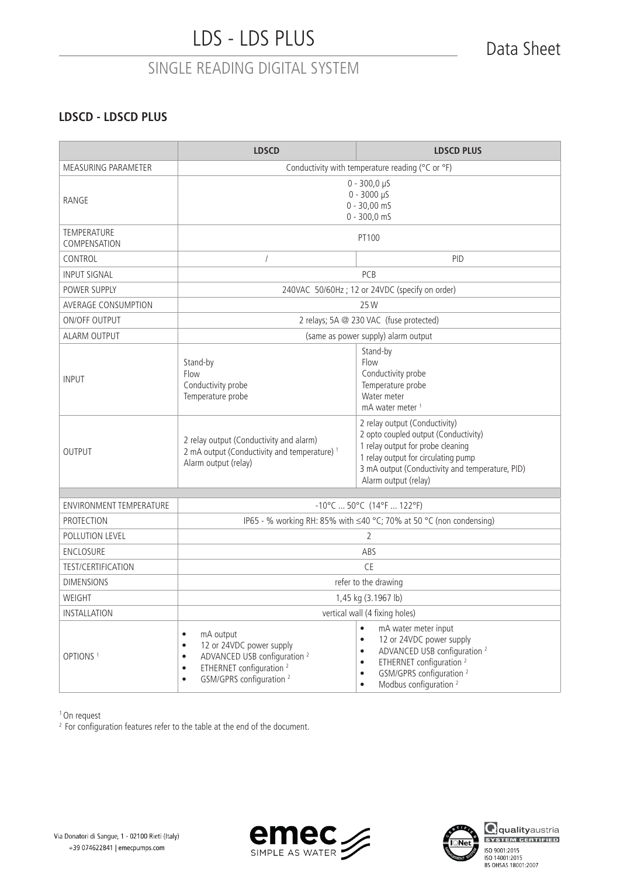### **LDSCD - LDSCD PLUS**

|                                | <b>LDSCD</b><br><b>LDSCD PLUS</b>                                                                                                                                                                                               |                                                                                                                                                                                                                                                                                              |  |  |
|--------------------------------|---------------------------------------------------------------------------------------------------------------------------------------------------------------------------------------------------------------------------------|----------------------------------------------------------------------------------------------------------------------------------------------------------------------------------------------------------------------------------------------------------------------------------------------|--|--|
| <b>MEASURING PARAMETER</b>     | Conductivity with temperature reading (°C or °F)                                                                                                                                                                                |                                                                                                                                                                                                                                                                                              |  |  |
| RANGE                          | $0 - 300,0 \,\mu S$<br>$0 - 3000 \mu S$<br>$0 - 30,00$ mS<br>$0 - 300, 0$ mS                                                                                                                                                    |                                                                                                                                                                                                                                                                                              |  |  |
| TEMPERATURE<br>COMPENSATION    |                                                                                                                                                                                                                                 | PT100                                                                                                                                                                                                                                                                                        |  |  |
| CONTROL                        | $\sqrt{2}$                                                                                                                                                                                                                      | PID                                                                                                                                                                                                                                                                                          |  |  |
| INPUT SIGNAL                   |                                                                                                                                                                                                                                 | PCB                                                                                                                                                                                                                                                                                          |  |  |
| POWER SUPPLY                   |                                                                                                                                                                                                                                 | 240VAC 50/60Hz; 12 or 24VDC (specify on order)                                                                                                                                                                                                                                               |  |  |
| <b>AVERAGE CONSUMPTION</b>     |                                                                                                                                                                                                                                 | 25 W                                                                                                                                                                                                                                                                                         |  |  |
| <b>ON/OFF OUTPUT</b>           |                                                                                                                                                                                                                                 | 2 relays; 5A @ 230 VAC (fuse protected)                                                                                                                                                                                                                                                      |  |  |
| ALARM OUTPUT                   |                                                                                                                                                                                                                                 | (same as power supply) alarm output                                                                                                                                                                                                                                                          |  |  |
| <b>INPUT</b>                   | Stand-by<br>Flow<br>Conductivity probe<br>Temperature probe                                                                                                                                                                     | Stand-by<br>Flow<br>Conductivity probe<br>Temperature probe<br>Water meter<br>mA water meter <sup>1</sup>                                                                                                                                                                                    |  |  |
| <b>OUTPUT</b>                  | 2 relay output (Conductivity and alarm)<br>2 mA output (Conductivity and temperature) <sup>1</sup><br>Alarm output (relay)                                                                                                      | 2 relay output (Conductivity)<br>2 opto coupled output (Conductivity)<br>1 relay output for probe cleaning<br>1 relay output for circulating pump<br>3 mA output (Conductivity and temperature, PID)<br>Alarm output (relay)                                                                 |  |  |
| <b>ENVIRONMENT TEMPERATURE</b> |                                                                                                                                                                                                                                 |                                                                                                                                                                                                                                                                                              |  |  |
| <b>PROTECTION</b>              | $-10^{\circ}$ C  50°C (14°F  122°F)                                                                                                                                                                                             |                                                                                                                                                                                                                                                                                              |  |  |
| POLLUTION LEVEL                | IP65 - % working RH: 85% with ≤40 °C; 70% at 50 °C (non condensing)                                                                                                                                                             |                                                                                                                                                                                                                                                                                              |  |  |
| <b>ENCLOSURE</b>               | $\overline{2}$<br>ABS                                                                                                                                                                                                           |                                                                                                                                                                                                                                                                                              |  |  |
| <b>TEST/CERTIFICATION</b>      | CE                                                                                                                                                                                                                              |                                                                                                                                                                                                                                                                                              |  |  |
| <b>DIMENSIONS</b>              | refer to the drawing                                                                                                                                                                                                            |                                                                                                                                                                                                                                                                                              |  |  |
| WEIGHT                         |                                                                                                                                                                                                                                 |                                                                                                                                                                                                                                                                                              |  |  |
| INSTALLATION                   | 1,45 kg (3.1967 lb)<br>vertical wall (4 fixing holes)                                                                                                                                                                           |                                                                                                                                                                                                                                                                                              |  |  |
| OPTIONS <sup>1</sup>           | mA output<br>$\bullet$<br>12 or 24VDC power supply<br>$\bullet$<br>ADVANCED USB configuration <sup>2</sup><br>$\bullet$<br>ETHERNET configuration <sup>2</sup><br>$\bullet$<br>GSM/GPRS configuration <sup>2</sup><br>$\bullet$ | mA water meter input<br>$\bullet$<br>12 or 24VDC power supply<br>$\bullet$<br>ADVANCED USB configuration <sup>2</sup><br>$\bullet$<br>ETHERNET configuration <sup>2</sup><br>$\bullet$<br>GSM/GPRS configuration <sup>2</sup><br>$\bullet$<br>Modbus configuration <sup>2</sup><br>$\bullet$ |  |  |

1 On request



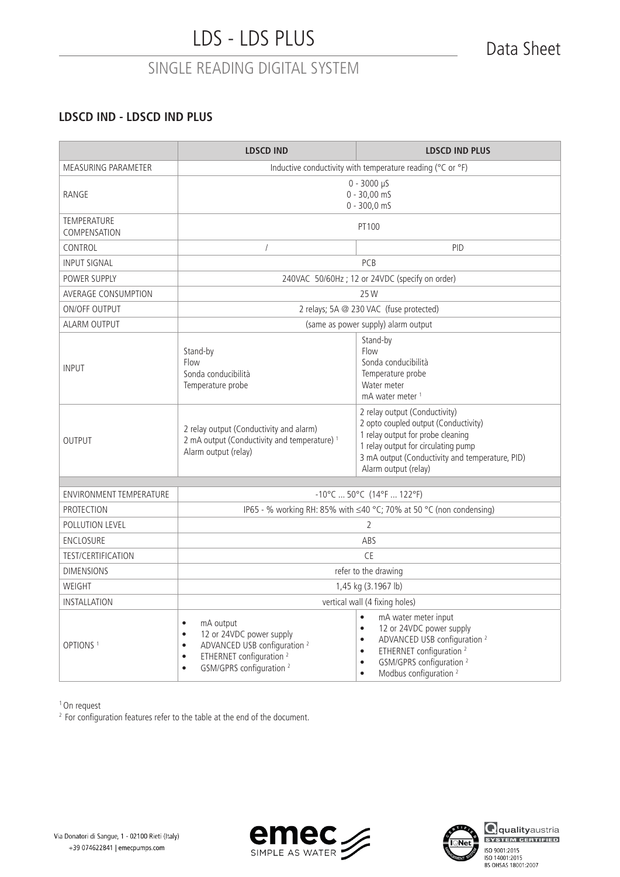### **LDSCD IND - LDSCD IND PLUS**

|                                    | <b>LDSCD IND</b><br><b>LDSCD IND PLUS</b>                                                                                                                                                                                       |                                                                                                                                                                                                                                                                                              |  |
|------------------------------------|---------------------------------------------------------------------------------------------------------------------------------------------------------------------------------------------------------------------------------|----------------------------------------------------------------------------------------------------------------------------------------------------------------------------------------------------------------------------------------------------------------------------------------------|--|
| MEASURING PARAMETER                | Inductive conductivity with temperature reading (°C or °F)                                                                                                                                                                      |                                                                                                                                                                                                                                                                                              |  |
| RANGE                              | $0 - 3000 \,\mu S$<br>$0 - 30,00 \text{ m}$<br>$0 - 300, 0$ mS                                                                                                                                                                  |                                                                                                                                                                                                                                                                                              |  |
| <b>TEMPERATURE</b><br>COMPENSATION | PT100                                                                                                                                                                                                                           |                                                                                                                                                                                                                                                                                              |  |
| CONTROL                            | $\overline{I}$                                                                                                                                                                                                                  | PID                                                                                                                                                                                                                                                                                          |  |
| <b>INPUT SIGNAL</b>                |                                                                                                                                                                                                                                 | <b>PCB</b>                                                                                                                                                                                                                                                                                   |  |
| POWER SUPPLY                       |                                                                                                                                                                                                                                 | 240VAC 50/60Hz; 12 or 24VDC (specify on order)                                                                                                                                                                                                                                               |  |
| AVERAGE CONSUMPTION                |                                                                                                                                                                                                                                 | 25 W                                                                                                                                                                                                                                                                                         |  |
| <b>ON/OFF OUTPUT</b>               |                                                                                                                                                                                                                                 | 2 relays; 5A @ 230 VAC (fuse protected)                                                                                                                                                                                                                                                      |  |
| <b>ALARM OUTPUT</b>                |                                                                                                                                                                                                                                 | (same as power supply) alarm output                                                                                                                                                                                                                                                          |  |
| <b>INPUT</b>                       | Stand-by<br>Flow<br>Sonda conducibilità<br>Temperature probe                                                                                                                                                                    | Stand-by<br>Flow<br>Sonda conducibilità<br>Temperature probe<br>Water meter<br>mA water meter <sup>1</sup>                                                                                                                                                                                   |  |
| <b>OUTPUT</b>                      | 2 relay output (Conductivity and alarm)<br>2 mA output (Conductivity and temperature) <sup>1</sup><br>Alarm output (relay)                                                                                                      | 2 relay output (Conductivity)<br>2 opto coupled output (Conductivity)<br>1 relay output for probe cleaning<br>1 relay output for circulating pump<br>3 mA output (Conductivity and temperature, PID)<br>Alarm output (relay)                                                                 |  |
| <b>ENVIRONMENT TEMPERATURE</b>     | $-10^{\circ}$ C  50°C (14°F  122°F)                                                                                                                                                                                             |                                                                                                                                                                                                                                                                                              |  |
| <b>PROTECTION</b>                  | IP65 - % working RH: 85% with ≤40 °C; 70% at 50 °C (non condensing)                                                                                                                                                             |                                                                                                                                                                                                                                                                                              |  |
| POLLUTION LEVEL                    | $\overline{2}$                                                                                                                                                                                                                  |                                                                                                                                                                                                                                                                                              |  |
| ENCLOSURE                          | ABS                                                                                                                                                                                                                             |                                                                                                                                                                                                                                                                                              |  |
| <b>TEST/CERTIFICATION</b>          | <b>CE</b>                                                                                                                                                                                                                       |                                                                                                                                                                                                                                                                                              |  |
| <b>DIMENSIONS</b>                  | refer to the drawing                                                                                                                                                                                                            |                                                                                                                                                                                                                                                                                              |  |
| WEIGHT                             | 1,45 kg (3.1967 lb)                                                                                                                                                                                                             |                                                                                                                                                                                                                                                                                              |  |
| <b>INSTALLATION</b>                | vertical wall (4 fixing holes)                                                                                                                                                                                                  |                                                                                                                                                                                                                                                                                              |  |
| OPTIONS <sup>1</sup>               | mA output<br>$\bullet$<br>12 or 24VDC power supply<br>$\bullet$<br>ADVANCED USB configuration <sup>2</sup><br>$\bullet$<br>ETHERNET configuration <sup>2</sup><br>$\bullet$<br>GSM/GPRS configuration <sup>2</sup><br>$\bullet$ | $\bullet$<br>mA water meter input<br>12 or 24VDC power supply<br>$\bullet$<br>ADVANCED USB configuration <sup>2</sup><br>$\bullet$<br>ETHERNET configuration <sup>2</sup><br>$\bullet$<br>GSM/GPRS configuration <sup>2</sup><br>$\bullet$<br>Modbus configuration <sup>2</sup><br>$\bullet$ |  |

1 On request

<sup>2</sup> For configuration features refer to the table at the end of the document.



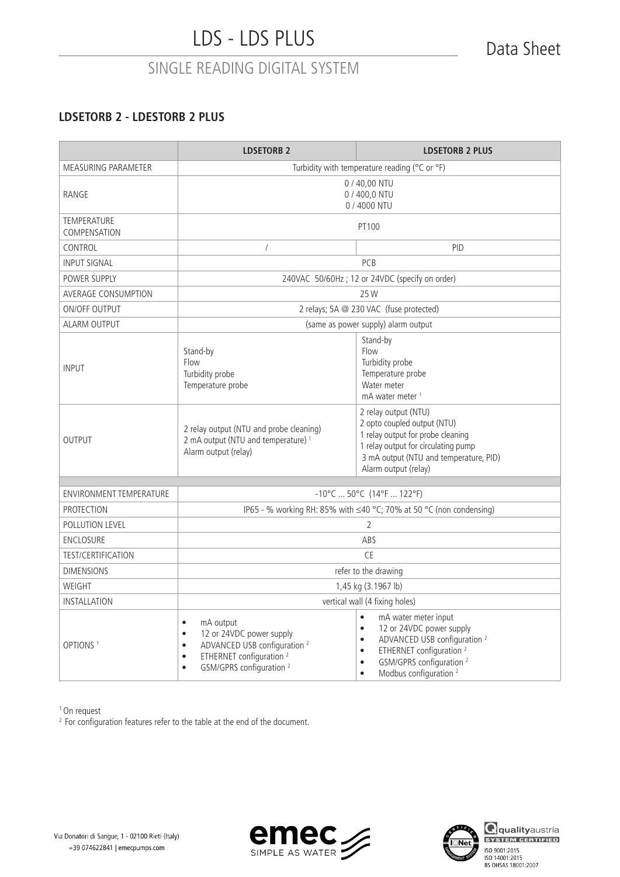### **LDSETORB 2 - LDESTORB 2 PLUS**

|                                | <b>LDSETORB 2</b>                                                                                                                                                                                                               | <b>LDSETORB 2 PLUS</b>                                                                                                                                                                                                                                                                       |  |
|--------------------------------|---------------------------------------------------------------------------------------------------------------------------------------------------------------------------------------------------------------------------------|----------------------------------------------------------------------------------------------------------------------------------------------------------------------------------------------------------------------------------------------------------------------------------------------|--|
| <b>MEASURING PARAMETER</b>     | Turbidity with temperature reading ( $\degree$ C or $\degree$ F)                                                                                                                                                                |                                                                                                                                                                                                                                                                                              |  |
| RANGE                          | 0 / 40,00 NTU<br>0 / 400,0 NTU<br>0 / 4000 NTU                                                                                                                                                                                  |                                                                                                                                                                                                                                                                                              |  |
| TEMPERATURE<br>COMPENSATION    |                                                                                                                                                                                                                                 | PT100                                                                                                                                                                                                                                                                                        |  |
| CONTROL                        | $\overline{1}$                                                                                                                                                                                                                  | PID                                                                                                                                                                                                                                                                                          |  |
| <b>INPUT SIGNAL</b>            |                                                                                                                                                                                                                                 | PCB                                                                                                                                                                                                                                                                                          |  |
| POWER SUPPLY                   |                                                                                                                                                                                                                                 | 240VAC 50/60Hz ; 12 or 24VDC (specify on order)                                                                                                                                                                                                                                              |  |
| <b>AVERAGE CONSUMPTION</b>     |                                                                                                                                                                                                                                 | 25 W                                                                                                                                                                                                                                                                                         |  |
| <b>ON/OFF OUTPUT</b>           |                                                                                                                                                                                                                                 | 2 relays; 5A @ 230 VAC (fuse protected)                                                                                                                                                                                                                                                      |  |
| <b>ALARM OUTPUT</b>            |                                                                                                                                                                                                                                 | (same as power supply) alarm output                                                                                                                                                                                                                                                          |  |
| <b>INPUT</b>                   | Stand-by<br>Flow<br>Turbidity probe<br>Temperature probe                                                                                                                                                                        | Stand-by<br>Flow<br>Turbidity probe<br>Temperature probe<br>Water meter<br>mA water meter <sup>1</sup>                                                                                                                                                                                       |  |
| <b>OUTPUT</b>                  | 2 relay output (NTU and probe cleaning)<br>2 mA output (NTU and temperature) <sup>1</sup><br>Alarm output (relay)                                                                                                               | 2 relay output (NTU)<br>2 opto coupled output (NTU)<br>1 relay output for probe cleaning<br>1 relay output for circulating pump<br>3 mA output (NTU and temperature, PID)<br>Alarm output (relay)                                                                                            |  |
| <b>ENVIRONMENT TEMPERATURE</b> | $-10^{\circ}$ C  50°C (14°F  122°F)                                                                                                                                                                                             |                                                                                                                                                                                                                                                                                              |  |
| <b>PROTECTION</b>              | IP65 - % working RH: 85% with ≤40 °C; 70% at 50 °C (non condensing)                                                                                                                                                             |                                                                                                                                                                                                                                                                                              |  |
| POLLUTION LEVEL                | 2                                                                                                                                                                                                                               |                                                                                                                                                                                                                                                                                              |  |
| <b>ENCLOSURE</b>               | ABS                                                                                                                                                                                                                             |                                                                                                                                                                                                                                                                                              |  |
| <b>TEST/CERTIFICATION</b>      | <b>CE</b>                                                                                                                                                                                                                       |                                                                                                                                                                                                                                                                                              |  |
| <b>DIMENSIONS</b>              | refer to the drawing                                                                                                                                                                                                            |                                                                                                                                                                                                                                                                                              |  |
| WEIGHT                         | 1,45 kg (3.1967 lb)                                                                                                                                                                                                             |                                                                                                                                                                                                                                                                                              |  |
| <b>INSTALLATION</b>            | vertical wall (4 fixing holes)                                                                                                                                                                                                  |                                                                                                                                                                                                                                                                                              |  |
| OPTIONS <sup>1</sup>           | mA output<br>$\bullet$<br>12 or 24VDC power supply<br>$\bullet$<br>ADVANCED USB configuration <sup>2</sup><br>$\bullet$<br>ETHERNET configuration <sup>2</sup><br>$\bullet$<br>GSM/GPRS configuration <sup>2</sup><br>$\bullet$ | mA water meter input<br>$\bullet$<br>12 or 24VDC power supply<br>$\bullet$<br>ADVANCED USB configuration <sup>2</sup><br>$\bullet$<br>ETHERNET configuration <sup>2</sup><br>$\bullet$<br>GSM/GPRS configuration <sup>2</sup><br>$\bullet$<br>Modbus configuration <sup>2</sup><br>$\bullet$ |  |

1 On request



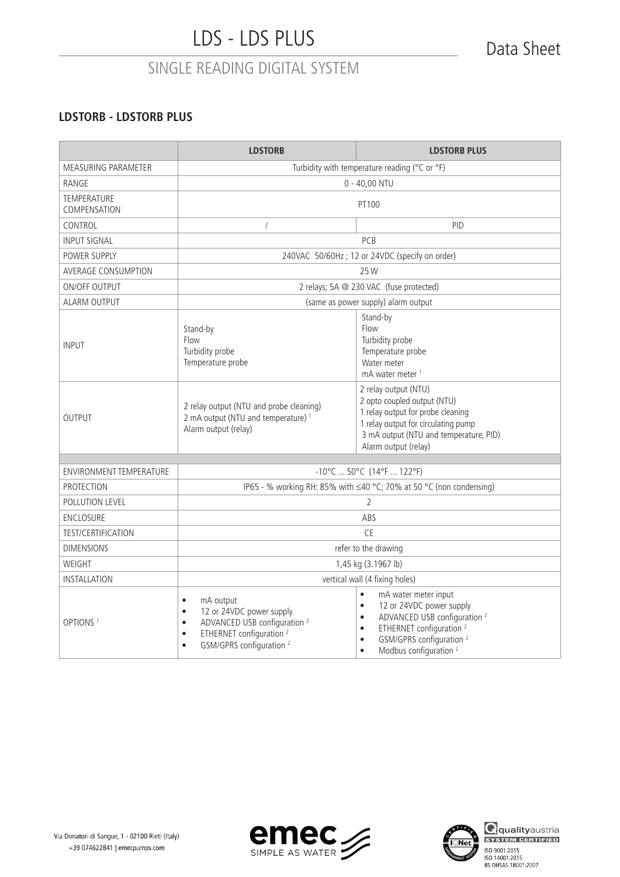### **LDSTORB - LDSTORB PLUS**

|                                                                       | <b>LDSTORB</b>                                                                                                                                                                                                                  | <b>LDSTORB PLUS</b>                                                                                                                                                                                                                                                                          |  |
|-----------------------------------------------------------------------|---------------------------------------------------------------------------------------------------------------------------------------------------------------------------------------------------------------------------------|----------------------------------------------------------------------------------------------------------------------------------------------------------------------------------------------------------------------------------------------------------------------------------------------|--|
| MEASURING PARAMETER                                                   | Turbidity with temperature reading (°C or °F)                                                                                                                                                                                   |                                                                                                                                                                                                                                                                                              |  |
| RANGE                                                                 | $0 - 40,00$ NTU                                                                                                                                                                                                                 |                                                                                                                                                                                                                                                                                              |  |
| <b>TEMPERATURE</b><br>COMPENSATION                                    | PT100                                                                                                                                                                                                                           |                                                                                                                                                                                                                                                                                              |  |
| CONTROL                                                               | I                                                                                                                                                                                                                               | <b>PID</b>                                                                                                                                                                                                                                                                                   |  |
| <b>INPUT SIGNAL</b>                                                   |                                                                                                                                                                                                                                 | PCB                                                                                                                                                                                                                                                                                          |  |
| POWER SUPPLY                                                          | 240VAC 50/60Hz ; 12 or 24VDC (specify on order)                                                                                                                                                                                 |                                                                                                                                                                                                                                                                                              |  |
| AVERAGE CONSUMPTION                                                   |                                                                                                                                                                                                                                 | 25 W                                                                                                                                                                                                                                                                                         |  |
| ON/OFF OUTPUT                                                         |                                                                                                                                                                                                                                 | 2 relays; 5A @ 230 VAC (fuse protected)                                                                                                                                                                                                                                                      |  |
| <b>ALARM OUTPUT</b>                                                   |                                                                                                                                                                                                                                 | (same as power supply) alarm output                                                                                                                                                                                                                                                          |  |
| <b>INPUT</b>                                                          | Stand-by<br>Flow<br>Turbidity probe<br>Temperature probe                                                                                                                                                                        | Stand-by<br>Flow<br>Turbidity probe<br>Temperature probe<br>Water meter<br>mA water meter <sup>1</sup>                                                                                                                                                                                       |  |
| <b>OUTPUT</b>                                                         | 2 relay output (NTU and probe cleaning)<br>2 mA output (NTU and temperature) <sup>1</sup><br>Alarm output (relay)                                                                                                               | 2 relay output (NTU)<br>2 opto coupled output (NTU)<br>1 relay output for probe cleaning<br>1 relay output for circulating pump<br>3 mA output (NTU and temperature, PID)<br>Alarm output (relay)                                                                                            |  |
| <b>ENVIRONMENT TEMPERATURE</b><br>$-10^{\circ}$ C  50°C (14°F  122°F) |                                                                                                                                                                                                                                 |                                                                                                                                                                                                                                                                                              |  |
| PROTECTION                                                            | IP65 - % working RH: 85% with ≤40 °C; 70% at 50 °C (non condensing)                                                                                                                                                             |                                                                                                                                                                                                                                                                                              |  |
| POLLUTION LEVEL                                                       | $\overline{2}$                                                                                                                                                                                                                  |                                                                                                                                                                                                                                                                                              |  |
| ENCLOSURE                                                             | ABS                                                                                                                                                                                                                             |                                                                                                                                                                                                                                                                                              |  |
| <b>TEST/CERTIFICATION</b>                                             | CE                                                                                                                                                                                                                              |                                                                                                                                                                                                                                                                                              |  |
| <b>DIMENSIONS</b>                                                     | refer to the drawing                                                                                                                                                                                                            |                                                                                                                                                                                                                                                                                              |  |
| WEIGHT                                                                | 1,45 kg (3.1967 lb)                                                                                                                                                                                                             |                                                                                                                                                                                                                                                                                              |  |
| INSTALLATION                                                          | vertical wall (4 fixing holes)                                                                                                                                                                                                  |                                                                                                                                                                                                                                                                                              |  |
| OPTIONS <sup>1</sup>                                                  | mA output<br>$\bullet$<br>12 or 24VDC power supply<br>$\bullet$<br>ADVANCED USB configuration <sup>2</sup><br>$\bullet$<br>ETHERNET configuration <sup>2</sup><br>$\bullet$<br>GSM/GPRS configuration <sup>2</sup><br>$\bullet$ | $\bullet$<br>mA water meter input<br>12 or 24VDC power supply<br>$\bullet$<br>ADVANCED USB configuration <sup>2</sup><br>$\bullet$<br>ETHERNET configuration <sup>2</sup><br>$\bullet$<br>GSM/GPRS configuration <sup>2</sup><br>$\bullet$<br>Modbus configuration <sup>2</sup><br>$\bullet$ |  |



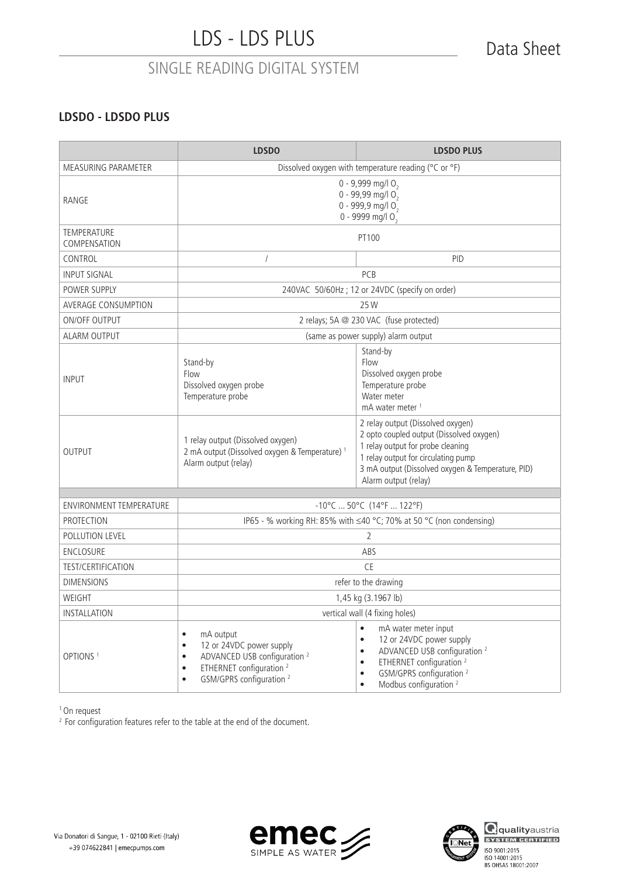### **LDSDO - LDSDO PLUS**

|                                                                | <b>LDSDO</b>                                                                                                                                                                                                                    | <b>LDSDO PLUS</b>                                                                                                                                                                                                                                                                            |  |  |
|----------------------------------------------------------------|---------------------------------------------------------------------------------------------------------------------------------------------------------------------------------------------------------------------------------|----------------------------------------------------------------------------------------------------------------------------------------------------------------------------------------------------------------------------------------------------------------------------------------------|--|--|
| MEASURING PARAMETER                                            | Dissolved oxygen with temperature reading (°C or °F)                                                                                                                                                                            |                                                                                                                                                                                                                                                                                              |  |  |
| RANGE                                                          | 0 - 9,999 mg/l O <sub>2</sub><br>0 - 99,99 mg/l $0,$<br>0 - 999,9 mg/l $0,$<br>0 - 9999 mg/l $0,$                                                                                                                               |                                                                                                                                                                                                                                                                                              |  |  |
| <b>TEMPERATURE</b><br>COMPENSATION                             |                                                                                                                                                                                                                                 | PT100                                                                                                                                                                                                                                                                                        |  |  |
| CONTROL                                                        | $\sqrt{2}$                                                                                                                                                                                                                      | <b>PID</b>                                                                                                                                                                                                                                                                                   |  |  |
| <b>INPUT SIGNAL</b>                                            |                                                                                                                                                                                                                                 | PCB                                                                                                                                                                                                                                                                                          |  |  |
| POWER SUPPLY                                                   |                                                                                                                                                                                                                                 | 240VAC 50/60Hz; 12 or 24VDC (specify on order)                                                                                                                                                                                                                                               |  |  |
| AVERAGE CONSUMPTION                                            |                                                                                                                                                                                                                                 | 25 W                                                                                                                                                                                                                                                                                         |  |  |
| ON/OFF OUTPUT                                                  |                                                                                                                                                                                                                                 | 2 relays; 5A @ 230 VAC (fuse protected)                                                                                                                                                                                                                                                      |  |  |
| <b>ALARM OUTPUT</b>                                            |                                                                                                                                                                                                                                 | (same as power supply) alarm output                                                                                                                                                                                                                                                          |  |  |
| <b>INPUT</b>                                                   | Stand-by<br>Flow<br>Dissolved oxygen probe<br>Temperature probe                                                                                                                                                                 | Stand-by<br>Flow<br>Dissolved oxygen probe<br>Temperature probe<br>Water meter<br>mA water meter <sup>1</sup>                                                                                                                                                                                |  |  |
| OUTPUT                                                         | 1 relay output (Dissolved oxygen)<br>2 mA output (Dissolved oxygen & Temperature) <sup>1</sup><br>Alarm output (relay)                                                                                                          | 2 relay output (Dissolved oxygen)<br>2 opto coupled output (Dissolved oxygen)<br>1 relay output for probe cleaning<br>1 relay output for circulating pump<br>3 mA output (Dissolved oxygen & Temperature, PID)<br>Alarm output (relay)                                                       |  |  |
| $-10^{\circ}$ C  50°C (14°F  122°F)<br>ENVIRONMENT TEMPERATURE |                                                                                                                                                                                                                                 |                                                                                                                                                                                                                                                                                              |  |  |
| <b>PROTECTION</b>                                              |                                                                                                                                                                                                                                 |                                                                                                                                                                                                                                                                                              |  |  |
| <b>POLLUTION LEVEL</b>                                         | IP65 - % working RH: 85% with ≤40 °C; 70% at 50 °C (non condensing)<br>2                                                                                                                                                        |                                                                                                                                                                                                                                                                                              |  |  |
| ENCLOSURE                                                      | ABS                                                                                                                                                                                                                             |                                                                                                                                                                                                                                                                                              |  |  |
| <b>TEST/CERTIFICATION</b>                                      | <b>CE</b>                                                                                                                                                                                                                       |                                                                                                                                                                                                                                                                                              |  |  |
| <b>DIMENSIONS</b>                                              | refer to the drawing                                                                                                                                                                                                            |                                                                                                                                                                                                                                                                                              |  |  |
| WEIGHT                                                         | 1,45 kg (3.1967 lb)                                                                                                                                                                                                             |                                                                                                                                                                                                                                                                                              |  |  |
| INSTALLATION                                                   | vertical wall (4 fixing holes)                                                                                                                                                                                                  |                                                                                                                                                                                                                                                                                              |  |  |
| OPTIONS <sup>1</sup>                                           | mA output<br>$\bullet$<br>12 or 24VDC power supply<br>$\bullet$<br>ADVANCED USB configuration <sup>2</sup><br>$\bullet$<br>ETHERNET configuration <sup>2</sup><br>$\bullet$<br>GSM/GPRS configuration <sup>2</sup><br>$\bullet$ | mA water meter input<br>$\bullet$<br>12 or 24VDC power supply<br>$\bullet$<br>ADVANCED USB configuration <sup>2</sup><br>$\bullet$<br>ETHERNET configuration <sup>2</sup><br>$\bullet$<br>GSM/GPRS configuration <sup>2</sup><br>$\bullet$<br>Modbus configuration <sup>2</sup><br>$\bullet$ |  |  |

1 On request



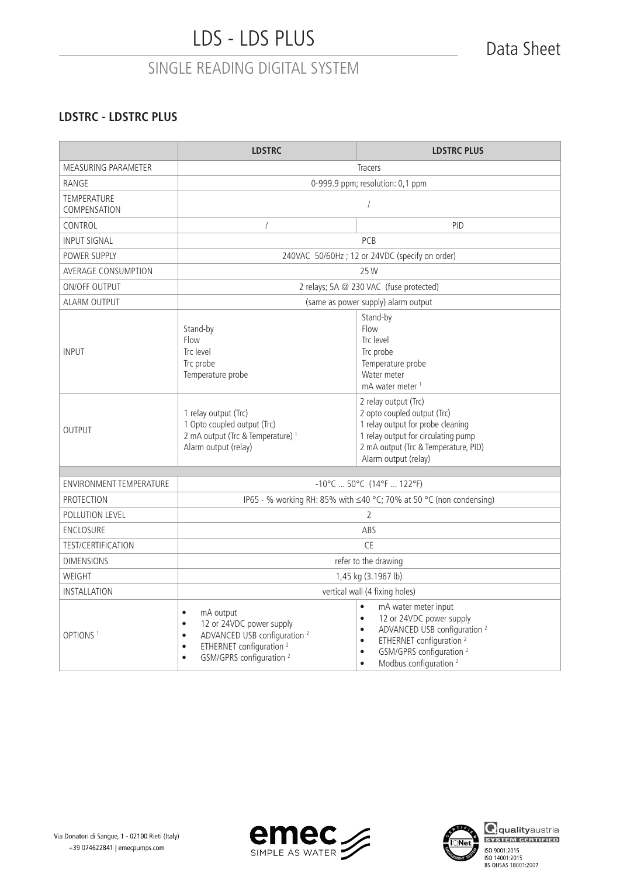### **LDSTRC - LDSTRC PLUS**

|                                    | <b>LDSTRC</b>                                                                                                                                                                                                                   | <b>LDSTRC PLUS</b>                                                                                                                                                                                                                                                                           |  |
|------------------------------------|---------------------------------------------------------------------------------------------------------------------------------------------------------------------------------------------------------------------------------|----------------------------------------------------------------------------------------------------------------------------------------------------------------------------------------------------------------------------------------------------------------------------------------------|--|
| <b>MEASURING PARAMETER</b>         | Tracers                                                                                                                                                                                                                         |                                                                                                                                                                                                                                                                                              |  |
| RANGE                              | 0-999.9 ppm; resolution: 0,1 ppm                                                                                                                                                                                                |                                                                                                                                                                                                                                                                                              |  |
| <b>TEMPERATURE</b><br>COMPENSATION | $\sqrt{2}$                                                                                                                                                                                                                      |                                                                                                                                                                                                                                                                                              |  |
| CONTROL                            | $\sqrt{ }$                                                                                                                                                                                                                      | PID                                                                                                                                                                                                                                                                                          |  |
| <b>INPUT SIGNAL</b>                |                                                                                                                                                                                                                                 | <b>PCB</b>                                                                                                                                                                                                                                                                                   |  |
| POWER SUPPLY                       |                                                                                                                                                                                                                                 | 240VAC 50/60Hz; 12 or 24VDC (specify on order)                                                                                                                                                                                                                                               |  |
| AVERAGE CONSUMPTION                |                                                                                                                                                                                                                                 | 25 W                                                                                                                                                                                                                                                                                         |  |
| ON/OFF OUTPUT                      |                                                                                                                                                                                                                                 | 2 relays; 5A @ 230 VAC (fuse protected)                                                                                                                                                                                                                                                      |  |
| ALARM OUTPUT                       |                                                                                                                                                                                                                                 | (same as power supply) alarm output                                                                                                                                                                                                                                                          |  |
| <b>INPUT</b>                       | Stand-by<br>Flow<br>Trc level<br>Trc probe<br>Temperature probe                                                                                                                                                                 | Stand-by<br>Flow<br>Trc level<br>Trc probe<br>Temperature probe<br>Water meter<br>mA water meter <sup>1</sup>                                                                                                                                                                                |  |
| <b>OUTPUT</b>                      | 1 relay output (Trc)<br>1 Opto coupled output (Trc)<br>2 mA output (Trc & Temperature) <sup>1</sup><br>Alarm output (relay)                                                                                                     | 2 relay output (Trc)<br>2 opto coupled output (Trc)<br>1 relay output for probe cleaning<br>1 relay output for circulating pump<br>2 mA output (Trc & Temperature, PID)<br>Alarm output (relay)                                                                                              |  |
| <b>ENVIRONMENT TEMPERATURE</b>     | $-10^{\circ}$ C  50°C (14°F  122°F)                                                                                                                                                                                             |                                                                                                                                                                                                                                                                                              |  |
| <b>PROTECTION</b>                  | IP65 - % working RH: 85% with ≤40 °C; 70% at 50 °C (non condensing)                                                                                                                                                             |                                                                                                                                                                                                                                                                                              |  |
| POLLUTION LEVEL                    | $\overline{2}$                                                                                                                                                                                                                  |                                                                                                                                                                                                                                                                                              |  |
| <b>ENCLOSURE</b>                   | ABS                                                                                                                                                                                                                             |                                                                                                                                                                                                                                                                                              |  |
| <b>TEST/CERTIFICATION</b>          | <b>CE</b>                                                                                                                                                                                                                       |                                                                                                                                                                                                                                                                                              |  |
| <b>DIMENSIONS</b>                  | refer to the drawing                                                                                                                                                                                                            |                                                                                                                                                                                                                                                                                              |  |
| WEIGHT                             | 1,45 kg (3.1967 lb)                                                                                                                                                                                                             |                                                                                                                                                                                                                                                                                              |  |
| <b>INSTALLATION</b>                | vertical wall (4 fixing holes)                                                                                                                                                                                                  |                                                                                                                                                                                                                                                                                              |  |
| OPTIONS <sup>1</sup>               | mA output<br>$\bullet$<br>12 or 24VDC power supply<br>$\bullet$<br>ADVANCED USB configuration <sup>2</sup><br>$\bullet$<br>ETHERNET configuration <sup>2</sup><br>$\bullet$<br>GSM/GPRS configuration <sup>2</sup><br>$\bullet$ | $\bullet$<br>mA water meter input<br>12 or 24VDC power supply<br>$\bullet$<br>ADVANCED USB configuration <sup>2</sup><br>$\bullet$<br>ETHERNET configuration <sup>2</sup><br>$\bullet$<br>GSM/GPRS configuration <sup>2</sup><br>$\bullet$<br>Modbus configuration <sup>2</sup><br>$\bullet$ |  |